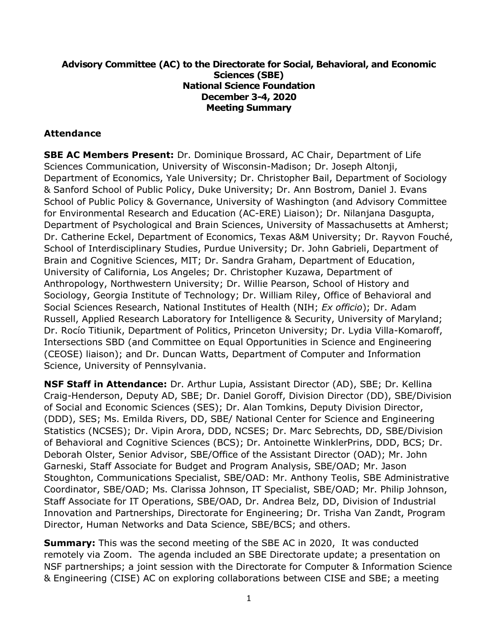#### **Advisory Committee (AC) to the Directorate for Social, Behavioral, and Economic Sciences (SBE) National Science Foundation December 3-4, 2020 Meeting Summary**

#### **Attendance**

**SBE AC Members Present:** Dr. Dominique Brossard, AC Chair, Department of Life Sciences Communication, University of Wisconsin-Madison; Dr. Joseph Altonji, Department of Economics, Yale University; Dr. Christopher Bail, Department of Sociology & Sanford School of Public Policy, Duke University; Dr. Ann Bostrom, Daniel J. Evans School of Public Policy & Governance, University of Washington (and Advisory Committee for Environmental Research and Education (AC-ERE) Liaison); Dr. Nilanjana Dasgupta, Department of Psychological and Brain Sciences, University of Massachusetts at Amherst; Dr. Catherine Eckel, Department of Economics, Texas A&M University; Dr. Rayvon Fouché, School of Interdisciplinary Studies, Purdue University; Dr. John Gabrieli, Department of Brain and Cognitive Sciences, MIT; Dr. Sandra Graham, Department of Education, University of California, Los Angeles; Dr. Christopher Kuzawa, Department of Anthropology, Northwestern University; Dr. Willie Pearson, School of History and Sociology, Georgia Institute of Technology; Dr. William Riley, Office of Behavioral and Social Sciences Research, National Institutes of Health (NIH; *Ex officio*); Dr. Adam Russell, Applied Research Laboratory for Intelligence & Security, University of Maryland; Dr. Rocío Titiunik, Department of Politics, Princeton University; Dr. Lydia Villa-Komaroff, Intersections SBD (and Committee on Equal Opportunities in Science and Engineering (CEOSE) liaison); and Dr. Duncan Watts, Department of Computer and Information Science, University of Pennsylvania.

**NSF Staff in Attendance:** Dr. Arthur Lupia, Assistant Director (AD), SBE; Dr. Kellina Craig-Henderson, Deputy AD, SBE; Dr. Daniel Goroff, Division Director (DD), SBE/Division of Social and Economic Sciences (SES); Dr. Alan Tomkins, Deputy Division Director, (DDD), SES; Ms. Emilda Rivers, DD, SBE/ National Center for Science and Engineering Statistics (NCSES); Dr. Vipin Arora, DDD, NCSES; Dr. Marc Sebrechts, DD, SBE/Division of Behavioral and Cognitive Sciences (BCS); Dr. Antoinette WinklerPrins, DDD, BCS; Dr. Deborah Olster, Senior Advisor, SBE/Office of the Assistant Director (OAD); Mr. John Garneski, Staff Associate for Budget and Program Analysis, SBE/OAD; Mr. Jason Stoughton, Communications Specialist, SBE/OAD: Mr. Anthony Teolis, SBE Administrative Coordinator, SBE/OAD; Ms. Clarissa Johnson, IT Specialist, SBE/OAD; Mr. Philip Johnson, Staff Associate for IT Operations, SBE/OAD, Dr. Andrea Belz, DD, Division of Industrial Innovation and Partnerships, Directorate for Engineering; Dr. Trisha Van Zandt, Program Director, Human Networks and Data Science, SBE/BCS; and others.

**Summary:** This was the second meeting of the SBE AC in 2020, It was conducted remotely via Zoom. The agenda included an SBE Directorate update; a presentation on NSF partnerships; a joint session with the Directorate for Computer & Information Science & Engineering (CISE) AC on exploring collaborations between CISE and SBE; a meeting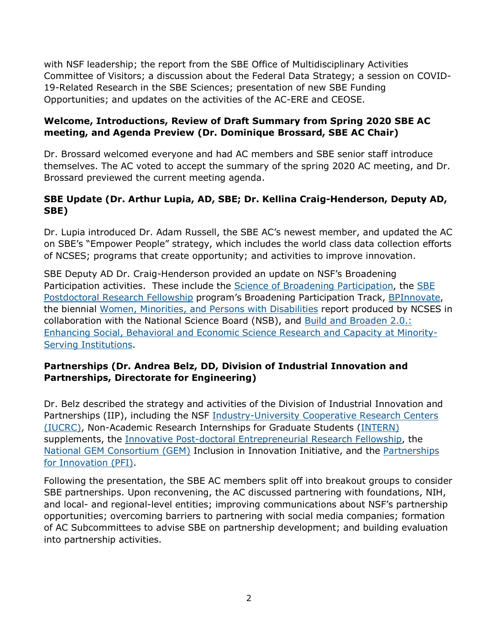with NSF leadership; the report from the SBE Office of Multidisciplinary Activities Committee of Visitors; a discussion about the Federal Data Strategy; a session on COVID-19-Related Research in the SBE Sciences; presentation of new SBE Funding Opportunities; and updates on the activities of the AC-ERE and CEOSE.

### **Welcome, Introductions, Review of Draft Summary from Spring 2020 SBE AC meeting, and Agenda Preview (Dr. Dominique Brossard, SBE AC Chair)**

Dr. Brossard welcomed everyone and had AC members and SBE senior staff introduce themselves. The AC voted to accept the summary of the spring 2020 AC meeting, and Dr. Brossard previewed the current meeting agenda.

## **SBE Update (Dr. Arthur Lupia, AD, SBE; Dr. Kellina Craig-Henderson, Deputy AD, SBE)**

Dr. Lupia introduced Dr. Adam Russell, the SBE AC's newest member, and updated the AC on SBE's "Empower People" strategy, which includes the world class data collection efforts of NCSES; programs that create opportunity; and activities to improve innovation.

SBE Deputy AD Dr. Craig-Henderson provided an update on NSF's Broadening Participation activities. These include the **Science of Broadening Participation**, the **SBE** [Postdoctoral](https://www.nsf.gov/funding/pgm_summ.jsp?pims_id=504810) Research Fellowship program's Broadening Participation Track, [BPInnovate,](https://www.nsf.gov/pubs/2021/nsf21023/nsf21023.jsp) the biennial [Women, Minorities, and Persons with Disabilities](https://ncses.nsf.gov/pubs/nsf19304/) report produced by NCSES in collaboration with the National Science Board (NSB), and [Build and Broaden 2.0.:](https://www.nsf.gov/funding/pgm_summ.jsp?pims_id=505864) [Enhancing Social, Behavioral and Economic Science](https://www.nsf.gov/funding/pgm_summ.jsp?pims_id=505864) Research and Capacity at Minority-[Serving Institutions.](https://www.nsf.gov/funding/pgm_summ.jsp?pims_id=505864)

## **Partnerships (Dr. Andrea Belz, DD, Division of Industrial Innovation and Partnerships, Directorate for Engineering)**

Dr. Belz described the strategy and activities of the Division of Industrial Innovation and Partnerships (IIP), including the NSF [Industry-University Cooperative Research Centers](https://iucrc.nsf.gov/)  [\(IUCRC\),](https://iucrc.nsf.gov/) Non-Academic Research Internships for Graduate Students [\(INTERN\)](https://www.nsf.gov/INTERN) supplements, the [Innovative Post-doctoral Entrepreneurial Research Fellowship,](https://iperf.asee.org/) the [National GEM Consortium \(GEM\)](https://www.nsf.gov/cgi-bin/good-bye?https://www.gemfellowship.org/i4/) Inclusion in Innovation Initiative, and the [Partnerships](https://www.nsf.gov/eng/iip/pfi/index.jsp)  [for Innovation \(PFI\).](https://www.nsf.gov/eng/iip/pfi/index.jsp)

Following the presentation, the SBE AC members split off into breakout groups to consider SBE partnerships. Upon reconvening, the AC discussed partnering with foundations, NIH, and local- and regional-level entities; improving communications about NSF's partnership opportunities; overcoming barriers to partnering with social media companies; formation of AC Subcommittees to advise SBE on partnership development; and building evaluation into partnership activities.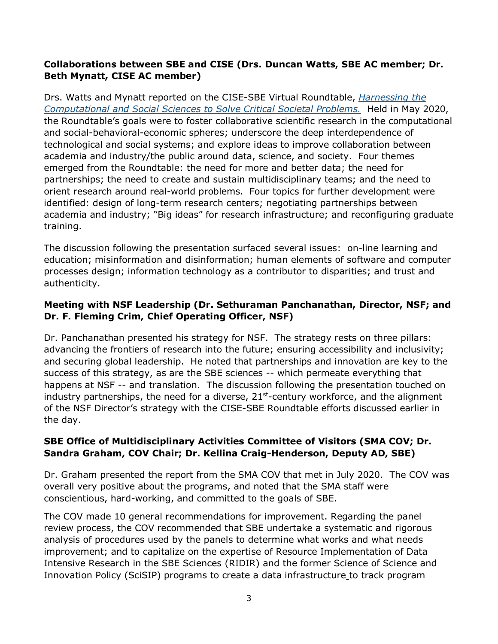### **Collaborations between SBE and CISE (Drs. Duncan Watts, SBE AC member; Dr. Beth Mynatt, CISE AC member)**

Drs. Watts and Mynatt reported on the CISE-SBE Virtual Roundtable, *[Harnessing the](https://cps-vo.org/group/CISE-SBE-VR20/program-agenda)  [Computational and Social Sciences to Solve Critical Societal Problems.](https://cps-vo.org/group/CISE-SBE-VR20/program-agenda)* Held in May 2020, the Roundtable's goals were to foster collaborative scientific research in the computational and social-behavioral-economic spheres; underscore the deep interdependence of technological and social systems; and explore ideas to improve collaboration between academia and industry/the public around data, science, and society. Four themes emerged from the Roundtable: the need for more and better data; the need for partnerships; the need to create and sustain multidisciplinary teams; and the need to orient research around real-world problems. Four topics for further development were identified: design of long-term research centers; negotiating partnerships between academia and industry; "Big ideas" for research infrastructure; and reconfiguring graduate training.

The discussion following the presentation surfaced several issues: on-line learning and education; misinformation and disinformation; human elements of software and computer processes design; information technology as a contributor to disparities; and trust and authenticity.

### **Meeting with NSF Leadership (Dr. Sethuraman Panchanathan, Director, NSF; and Dr. F. Fleming Crim, Chief Operating Officer, NSF)**

Dr. Panchanathan presented his strategy for NSF. The strategy rests on three pillars: advancing the frontiers of research into the future; ensuring accessibility and inclusivity; and securing global leadership. He noted that partnerships and innovation are key to the success of this strategy, as are the SBE sciences -- which permeate everything that happens at NSF -- and translation. The discussion following the presentation touched on industry partnerships, the need for a diverse,  $21<sup>st</sup>$ -century workforce, and the alignment of the NSF Director's strategy with the CISE-SBE Roundtable efforts discussed earlier in the day.

#### **SBE Office of Multidisciplinary Activities Committee of Visitors (SMA COV; Dr. Sandra Graham, COV Chair; Dr. Kellina Craig-Henderson, Deputy AD, SBE)**

Dr. Graham presented the report from the SMA COV that met in July 2020. The COV was overall very positive about the programs, and noted that the SMA staff were conscientious, hard-working, and committed to the goals of SBE.

The COV made 10 general recommendations for improvement. Regarding the panel review process, the COV recommended that SBE undertake a systematic and rigorous analysis of procedures used by the panels to determine what works and what needs improvement; and to capitalize on the expertise of Resource Implementation of Data Intensive Research in the SBE Sciences (RIDIR) and the former Science of Science and Innovation Policy (SciSIP) programs to create a data infrastructure to track program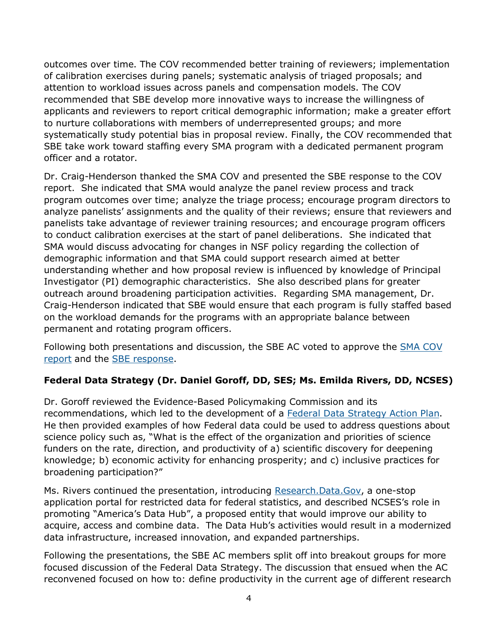outcomes over time. The COV recommended better training of reviewers; implementation of calibration exercises during panels; systematic analysis of triaged proposals; and attention to workload issues across panels and compensation models. The COV recommended that SBE develop more innovative ways to increase the willingness of applicants and reviewers to report critical demographic information; make a greater effort to nurture collaborations with members of underrepresented groups; and more systematically study potential bias in proposal review. Finally, the COV recommended that SBE take work toward staffing every SMA program with a dedicated permanent program officer and a rotator.

Dr. Craig-Henderson thanked the SMA COV and presented the SBE response to the COV report. She indicated that SMA would analyze the panel review process and track program outcomes over time; analyze the triage process; encourage program directors to analyze panelists' assignments and the quality of their reviews; ensure that reviewers and panelists take advantage of reviewer training resources; and encourage program officers to conduct calibration exercises at the start of panel deliberations. She indicated that SMA would discuss advocating for changes in NSF policy regarding the collection of demographic information and that SMA could support research aimed at better understanding whether and how proposal review is influenced by knowledge of Principal Investigator (PI) demographic characteristics. She also described plans for greater outreach around broadening participation activities. Regarding SMA management, Dr. Craig-Henderson indicated that SBE would ensure that each program is fully staffed based on the workload demands for the programs with an appropriate balance between permanent and rotating program officers.

Following both presentations and discussion, the SBE AC voted to approve the [SMA COV](https://www.nsf.gov/od/oia/activities/cov/sbe/2020/2020_SMA_COV_Report-508.pdf)  [report](https://www.nsf.gov/od/oia/activities/cov/sbe/2020/2020_SMA_COV_Report-508.pdf) and the [SBE response.](https://nsf-my.sharepoint.com/personal/7321509891_nsf_gov/Documents/SBE%20AC/Spring%202021%20AC%20Meeting/Response%20to%20COV%20Report)

# **Federal Data Strategy (Dr. Daniel Goroff, DD, SES; Ms. Emilda Rivers, DD, NCSES)**

Dr. Goroff reviewed the Evidence-Based Policymaking Commission and its recommendations, which led to the development of a [Federal Data Strategy Action Plan.](https://strategy.data.gov/action-plan) He then provided examples of how Federal data could be used to address questions about science policy such as, "What is the effect of the organization and priorities of science funders on the rate, direction, and productivity of a) scientific discovery for deepening knowledge; b) economic activity for enhancing prosperity; and c) inclusive practices for broadening participation?"

Ms. Rivers continued the presentation, introducing [Research.Data.Gov,](https://nsf-my.sharepoint.com/personal/7321509891_nsf_gov/Documents/SBE%20AC/Spring%202021%20AC%20Meeting/ResearchData.Gov) a one-stop application portal for restricted data for federal statistics, and described NCSES's role in promoting "America's Data Hub", a proposed entity that would improve our ability to acquire, access and combine data. The Data Hub's activities would result in a modernized data infrastructure, increased innovation, and expanded partnerships.

Following the presentations, the SBE AC members split off into breakout groups for more focused discussion of the Federal Data Strategy. The discussion that ensued when the AC reconvened focused on how to: define productivity in the current age of different research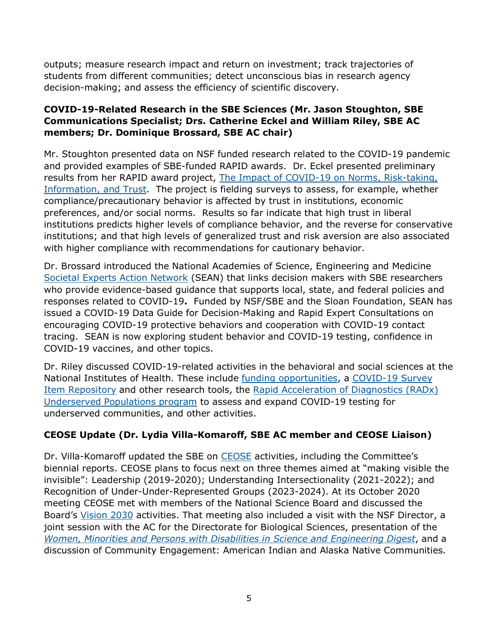outputs; measure research impact and return on investment; track trajectories of students from different communities; detect unconscious bias in research agency decision-making; and assess the efficiency of scientific discovery.

### **COVID-19-Related Research in the SBE Sciences (Mr. Jason Stoughton, SBE Communications Specialist; Drs. Catherine Eckel and William Riley, SBE AC members; Dr. Dominique Brossard, SBE AC chair)**

Mr. Stoughton presented data on NSF funded research related to the COVID-19 pandemic and provided examples of SBE-funded RAPID awards. Dr. Eckel presented preliminary results from her RAPID award project, [The Impact of COVID-19 on Norms, Risk-taking,](https://www.nsf.gov/awardsearch/showAward?AWD_ID=2027548&HistoricalAwards=false)  [Information, and Trust.](https://www.nsf.gov/awardsearch/showAward?AWD_ID=2027548&HistoricalAwards=false) The project is fielding surveys to assess, for example, whether compliance/precautionary behavior is affected by trust in institutions, economic preferences, and/or social norms. Results so far indicate that high trust in liberal institutions predicts higher levels of compliance behavior, and the reverse for conservative institutions; and that high levels of generalized trust and risk aversion are also associated with higher compliance with recommendations for cautionary behavior.

Dr. Brossard introduced the National Academies of Science, Engineering and Medicine [Societal Experts Action Network](https://www.nationalacademies.org/our-work/societal-experts-action-network) (SEAN) that links decision makers with SBE researchers who provide evidence-based guidance that supports local, state, and federal policies and responses related to COVID-19**.** Funded by NSF/SBE and the Sloan Foundation, SEAN has issued a COVID-19 Data Guide for Decision-Making and Rapid Expert Consultations on encouraging COVID-19 protective behaviors and cooperation with COVID-19 contact tracing. SEAN is now exploring student behavior and COVID-19 testing, confidence in COVID-19 vaccines, and other topics.

Dr. Riley discussed COVID-19-related activities in the behavioral and social sciences at the National Institutes of Health. These include [funding opportunities,](https://obssr.od.nih.gov/research-support/funding-announcements/) a [COVID-19 Survey](https://obssr.od.nih.gov/covid-19-specific-survey-items-now-available-on-phenx-and-the-nih-disaster-research-response-dr2-platforms/)  [Item Repository](https://obssr.od.nih.gov/covid-19-specific-survey-items-now-available-on-phenx-and-the-nih-disaster-research-response-dr2-platforms/) and other research tools, the [Rapid Acceleration of Diagnostics \(RADx\)](https://grants.nih.gov/grants/guide/notice-files/NOT-OD-20-112.html)  [Underserved Populations program](https://grants.nih.gov/grants/guide/notice-files/NOT-OD-20-112.html) to assess and expand COVID-19 testing for underserved communities, and other activities.

# **CEOSE Update (Dr. Lydia Villa-Komaroff, SBE AC member and CEOSE Liaison)**

Dr. Villa-Komaroff updated the SBE on [CEOSE](https://www.nsf.gov/od/oia/activities/ceose/index.jsp) activities, including the Committee's biennial reports. CEOSE plans to focus next on three themes aimed at "making visible the invisible": Leadership (2019-2020); Understanding Intersectionality (2021-2022); and Recognition of Under-Under-Represented Groups (2023-2024). At its October 2020 meeting CEOSE met with members of the National Science Board and discussed the Board's [Vision 2030](https://www.nsf.gov/nsb/NSBActivities/vision-2030.jsp) activities. That meeting also included a visit with the NSF Director, a joint session with the AC for the Directorate for Biological Sciences, presentation of the *[Women, Minorities and Persons with Disabilities in Science and Engineering Digest](https://ncses.nsf.gov/pubs/nsf19304/digest)*, and a discussion of Community Engagement: American Indian and Alaska Native Communities.